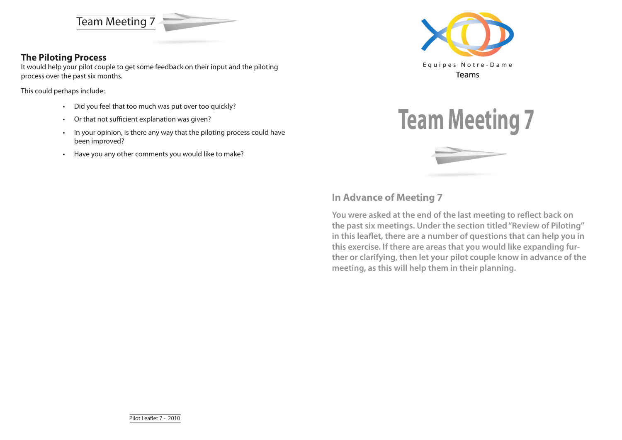Team Meeting 7



### **The Piloting Process**

It would help your pilot couple to get some feedback on their input and the piloting process over the past six months.

This could perhaps include:

- Did you feel that too much was put over too quickly?
- Or that not sufficient explanation was given?
- In your opinion, is there any way that the piloting process could have been improved?
- Have you any other comments you would like to make?





# **In Advance of Meeting 7**

**You were asked at the end of the last meeting to reflect back on the past six meetings. Under the section titled "Review of Piloting" in this leaflet, there are a number of questions that can help you in this exercise. If there are areas that you would like expanding further or clarifying, then let your pilot couple know in advance of the meeting, as this will help them in their planning.**